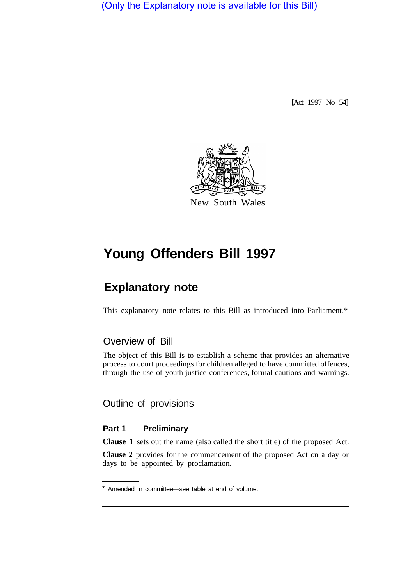(Only the Explanatory note is available for this Bill)

[Act 1997 No 54]



# **Young Offenders Bill 1997**

## **Explanatory note**

This explanatory note relates to this Bill as introduced into Parliament.\*

## Overview of Bill

The object of this Bill is to establish a scheme that provides an alternative process to court proceedings for children alleged to have committed offences, through the use of youth justice conferences, formal cautions and warnings.

Outline of provisions

#### **Part 1 Preliminary**

**Clause 1** sets out the name (also called the short title) of the proposed Act.

**Clause 2** provides for the commencement of the proposed Act on a day or days to be appointed by proclamation.

Amended in committee—see table at end of volume.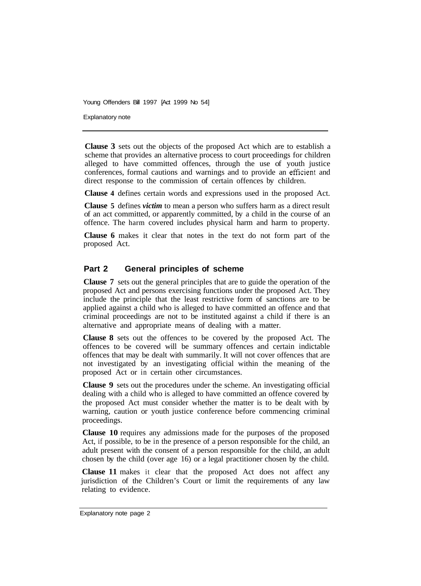Explanatory note

**Clause 3** sets out the objects of the proposed Act which are to establish a scheme that provides an alternative process to court proceedings for children alleged to have committed offences, through the use of youth justice conferences, formal cautions and warnings and to provide an efficient and direct response to the commission of certain offences by children.

**Clause 4** defines certain words and expressions used in the proposed Act.

**Clause 5** defines *victim* to mean a person who suffers harm as a direct result of an act committed, or apparently committed, by a child in the course of an offence. The harm covered includes physical harm and harm to property.

**Clause 6** makes it clear that notes in the text do not form part of the proposed Act.

## **Part 2 General principles of scheme**

**Clause 7** sets out the general principles that are to guide the operation of the proposed Act and persons exercising functions under the proposed Act. They include the principle that the least restrictive form of sanctions are to be applied against a child who is alleged to have committed an offence and that criminal proceedings are not to be instituted against a child if there is an alternative and appropriate means of dealing with a matter.

**Clause 8** sets out the offences to be covered by the proposed Act. The offences to be covered will be summary offences and certain indictable offences that may be dealt with summarily. It will not cover offences that are not investigated by an investigating official within the meaning of the proposed Act or in certain other circumstances.

**Clause 9** sets out the procedures under the scheme. An investigating official dealing with a child who is alleged to have committed an offence covered by the proposed Act must consider whether the matter is to be dealt with by warning, caution or youth justice conference before commencing criminal proceedings.

**Clause 10** requires any admissions made for the purposes of the proposed Act, if possible, to be in the presence of a person responsible for the child, an adult present with the consent of a person responsible for the child, an adult chosen by the child (over age 16) or a legal practitioner chosen by the child.

**Clause 11** makes it clear that the proposed Act does not affect any jurisdiction of the Children's Court or limit the requirements of any law relating to evidence.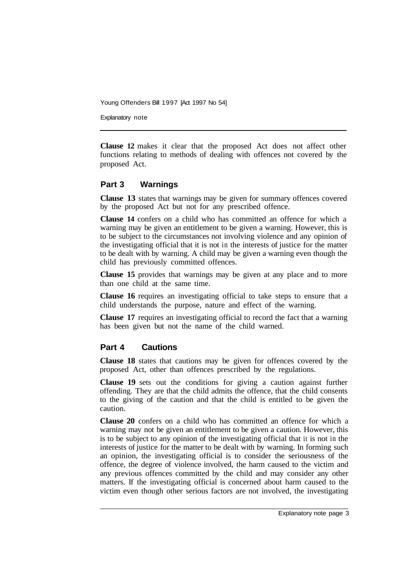Explanatory note

**Clause 12** makes it clear that the proposed Act does not affect other functions relating to methods of dealing with offences not covered by the proposed Act.

## **Part 3 Warnings**

**Clause 13** states that warnings may be given for summary offences covered by the proposed Act but not for any prescribed offence.

**Clause 14** confers on a child who has committed an offence for which a warning may be given an entitlement to be given a warning. However, this is to be subject to the circumstances not involving violence and any opinion of the investigating official that it is not in the interests of justice for the matter to be dealt with by warning. A child may be given a warning even though the child has previously committed offences.

**Clause 15** provides that warnings may be given at any place and to more than one child at the same time.

**Clause 16** requires an investigating official to take steps to ensure that a child understands the purpose, nature and effect of the warning.

**Clause 17** requires an investigating official to record the fact that a warning has been given but not the name of the child warned.

## **Part 4 Cautions**

**Clause 18** states that cautions may be given for offences covered by the proposed Act, other than offences prescribed by the regulations.

**Clause 19** sets out the conditions for giving a caution against further offending. They are that the child admits the offence, that the child consents to the giving of the caution and that the child is entitled to be given the caution.

**Clause 20** confers on a child who has committed an offence for which a warning may not be given an entitlement to be given a caution. However, this is to be subject to any opinion of the investigating official that it is not in the interests of justice for the matter to be dealt with by warning. In forming such an opinion, the investigating official is to consider the seriousness of the offence, the degree of violence involved, the harm caused to the victim and any previous offences committed by the child and may consider any other matters. If the investigating official is concerned about harm caused to the victim even though other serious factors are not involved, the investigating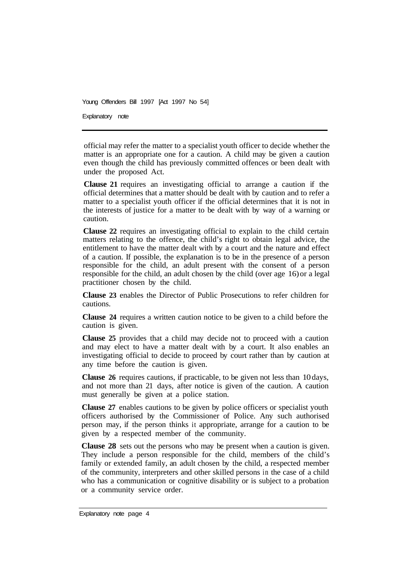Explanatory note

official may refer the matter to a specialist youth officer to decide whether the matter is an appropriate one for a caution. A child may be given a caution even though the child has previously committed offences or been dealt with under the proposed Act.

**Clause 21** requires an investigating official to arrange a caution if the official determines that a matter should be dealt with by caution and to refer a matter to a specialist youth officer if the official determines that it is not in the interests of justice for a matter to be dealt with by way of a warning or caution.

**Clause 22** requires an investigating official to explain to the child certain matters relating to the offence, the child's right to obtain legal advice, the entitlement to have the matter dealt with by a court and the nature and effect of a caution. If possible, the explanation is to be in the presence of a person responsible for the child, an adult present with the consent of a person responsible for the child, an adult chosen by the child (over age 16) or a legal practitioner chosen by the child.

**Clause 23** enables the Director of Public Prosecutions to refer children for cautions.

**Clause 24** requires a written caution notice to be given to a child before the caution is given.

**Clause 25** provides that a child may decide not to proceed with a caution and may elect to have a matter dealt with by a court. It also enables an investigating official to decide to proceed by court rather than by caution at any time before the caution is given.

**Clause 26** requires cautions, if practicable, to be given not less than 10 days, and not more than 21 days, after notice is given of the caution. A caution must generally be given at a police station.

**Clause 27** enables cautions to be given by police officers or specialist youth officers authorised by the Commissioner of Police. Any such authorised person may, if the person thinks it appropriate, arrange for a caution to be given by a respected member of the community.

**Clause 28** sets out the persons who may be present when a caution is given. They include a person responsible for the child, members of the child's family or extended family, an adult chosen by the child, a respected member of the community, interpreters and other skilled persons in the case of a child who has a communication or cognitive disability or is subject to a probation or a community service order.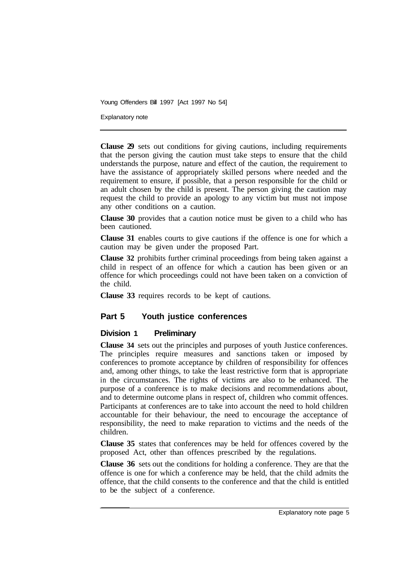Explanatory note

**Clause 29** sets out conditions for giving cautions, including requirements that the person giving the caution must take steps to ensure that the child understands the purpose, nature and effect of the caution, the requirement to have the assistance of appropriately skilled persons where needed and the requirement to ensure, if possible, that a person responsible for the child or an adult chosen by the child is present. The person giving the caution may request the child to provide an apology to any victim but must not impose any other conditions on a caution.

**Clause 30** provides that a caution notice must be given to a child who has been cautioned.

**Clause 31** enables courts to give cautions if the offence is one for which a caution may be given under the proposed Part.

**Clause 32** prohibits further criminal proceedings from being taken against a child in respect of an offence for which a caution has been given or an offence for which proceedings could not have been taken on a conviction of the child.

**Clause 33** requires records to be kept of cautions.

#### **Part 5 Youth justice conferences**

#### **Division 1 Preliminary**

**Clause 34** sets out the principles and purposes of youth Justice conferences. The principles require measures and sanctions taken or imposed by conferences to promote acceptance by children of responsibility for offences and, among other things, to take the least restrictive form that is appropriate in the circumstances. The rights of victims are also to be enhanced. The purpose of a conference is to make decisions and recommendations about, and to determine outcome plans in respect of, children who commit offences. Participants at conferences are to take into account the need to hold children accountable for their behaviour, the need to encourage the acceptance of responsibility, the need to make reparation to victims and the needs of the children.

**Clause 35** states that conferences may be held for offences covered by the proposed Act, other than offences prescribed by the regulations.

**Clause 36** sets out the conditions for holding a conference. They are that the offence is one for which a conference may be held, that the child admits the offence, that the child consents to the conference and that the child is entitled to be the subject of a conference.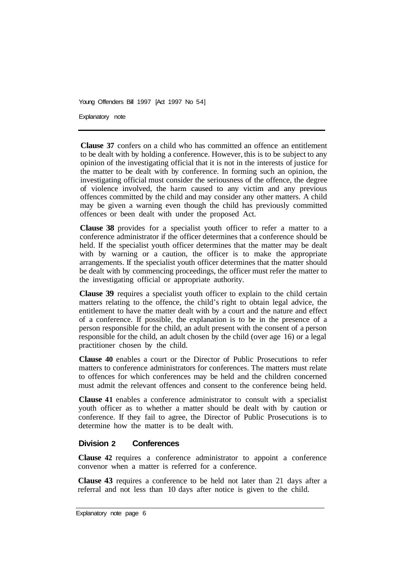Explanatory note

**Clause 37** confers on a child who has committed an offence an entitlement to be dealt with by holding a conference. However, this is to be subject to any opinion of the investigating official that it is not in the interests of justice for the matter to be dealt with by conference. In forming such an opinion, the investigating official must consider the seriousness of the offence, the degree of violence involved, the harm caused to any victim and any previous offences committed by the child and may consider any other matters. A child may be given a warning even though the child has previously committed offences or been dealt with under the proposed Act.

**Clause 38** provides for a specialist youth officer to refer a matter to a conference administrator if the officer determines that a conference should be held. If the specialist youth officer determines that the matter may be dealt with by warning or a caution, the officer is to make the appropriate arrangements. If the specialist youth officer determines that the matter should be dealt with by commencing proceedings, the officer must refer the matter to the investigating official or appropriate authority.

**Clause 39** requires a specialist youth officer to explain to the child certain matters relating to the offence, the child's right to obtain legal advice, the entitlement to have the matter dealt with by a court and the nature and effect of a conference. If possible, the explanation is to be in the presence of a person responsible for the child, an adult present with the consent of a person responsible for the child, an adult chosen by the child (over age 16) or a legal practitioner chosen by the child.

**Clause 40** enables a court or the Director of Public Prosecutions to refer matters to conference administrators for conferences. The matters must relate to offences for which conferences may be held and the children concerned must admit the relevant offences and consent to the conference being held.

**Clause 41** enables a conference administrator to consult with a specialist youth officer as to whether a matter should be dealt with by caution or conference. If they fail to agree, the Director of Public Prosecutions is to determine how the matter is to be dealt with.

## **Division 2 Conferences**

**Clause 42** requires a conference administrator to appoint a conference convenor when a matter is referred for a conference.

**Clause 43** requires a conference to be held not later than 21 days after a referral and not less than 10 days after notice is given to the child.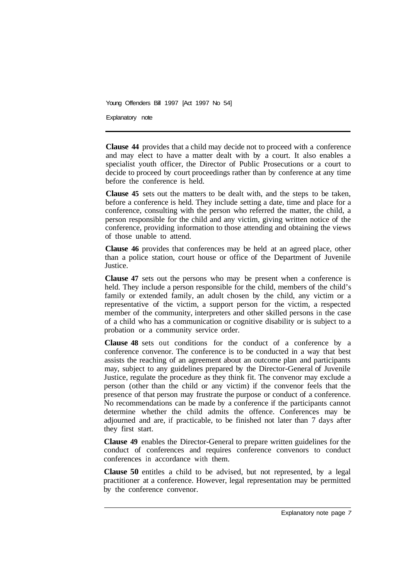Explanatory note

**Clause 44** provides that a child may decide not to proceed with a conference and may elect to have a matter dealt with by a court. It also enables a specialist youth officer, the Director of Public Prosecutions or a court to decide to proceed by court proceedings rather than by conference at any time before the conference is held.

**Clause 45** sets out the matters to be dealt with, and the steps to be taken, before a conference is held. They include setting a date, time and place for a conference, consulting with the person who referred the matter, the child, a person responsible for the child and any victim, giving written notice of the conference, providing information to those attending and obtaining the views of those unable to attend.

**Clause 46** provides that conferences may be held at an agreed place, other than a police station, court house or office of the Department of Juvenile Justice.

**Clause 47** sets out the persons who may be present when a conference is held. They include a person responsible for the child, members of the child's family or extended family, an adult chosen by the child, any victim or a representative of the victim, a support person for the victim, a respected member of the community, interpreters and other skilled persons in the case of a child who has a communication or cognitive disability or is subject to a probation or a community service order.

**Clause 48** sets out conditions for the conduct of a conference by a conference convenor. The conference is to be conducted in a way that best assists the reaching of an agreement about an outcome plan and participants may, subject to any guidelines prepared by the Director-General of Juvenile Justice, regulate the procedure as they think fit. The convenor may exclude a person (other than the child or any victim) if the convenor feels that the presence of that person may frustrate the purpose or conduct of a conference. No recommendations can be made by a conference if the participants cannot determine whether the child admits the offence. Conferences may be adjourned and are, if practicable, to be finished not later than 7 days after they first start.

**Clause 49** enables the Director-General to prepare written guidelines for the conduct of conferences and requires conference convenors to conduct conferences in accordance with them.

**Clause 50** entitles a child to be advised, but not represented, by a legal practitioner at a conference. However, legal representation may be permitted by the conference convenor.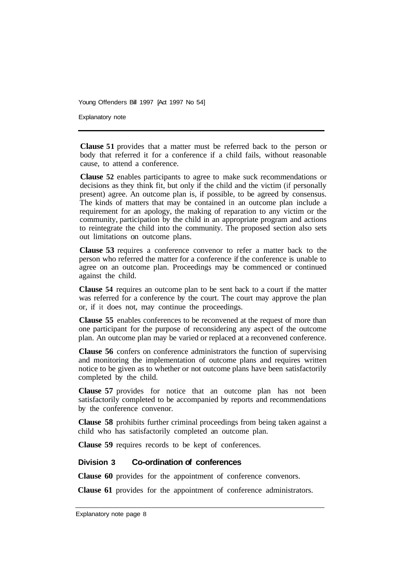Explanatory note

**Clause 51** provides that a matter must be referred back to the person or body that referred it for a conference if a child fails, without reasonable cause, to attend a conference.

**Clause 52** enables participants to agree to make suck recommendations or decisions as they think fit, but only if the child and the victim (if personally present) agree. An outcome plan is, if possible, to be agreed by consensus. The kinds of matters that may be contained in an outcome plan include a requirement for an apology, the making of reparation to any victim or the community, participation by the child in an appropriate program and actions to reintegrate the child into the community. The proposed section also sets out limitations on outcome plans.

**Clause 53** requires a conference convenor to refer a matter back to the person who referred the matter for a conference if the conference is unable to agree on an outcome plan. Proceedings may be commenced or continued against the child.

**Clause 54** requires an outcome plan to be sent back to a court if the matter was referred for a conference by the court. The court may approve the plan or, if it does not, may continue the proceedings.

**Clause 55** enables conferences to be reconvened at the request of more than one participant for the purpose of reconsidering any aspect of the outcome plan. An outcome plan may be varied or replaced at a reconvened conference.

**Clause 56** confers on conference administrators the function of supervising and monitoring the implementation of outcome plans and requires written notice to be given as to whether or not outcome plans have been satisfactorily completed by the child.

**Clause 57** provides for notice that an outcome plan has not been satisfactorily completed to be accompanied by reports and recommendations by the conference convenor.

**Clause 58** prohibits further criminal proceedings from being taken against a child who has satisfactorily completed an outcome plan.

**Clause 59** requires records to be kept of conferences.

#### **Division 3 Co-ordination of conferences**

**Clause 60** provides for the appointment of conference convenors.

**Clause 61** provides for the appointment of conference administrators.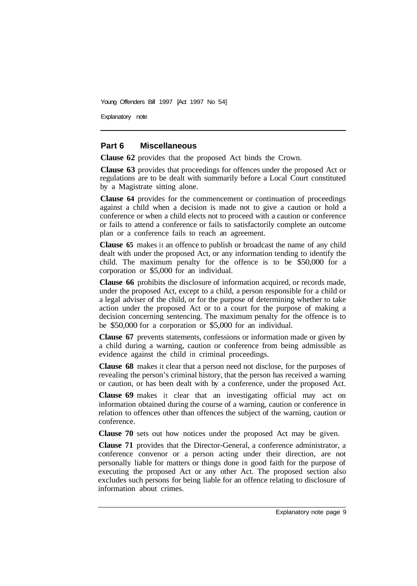Explanatory note

#### **Part 6 Miscellaneous**

**Clause 62** provides that the proposed Act binds the Crown.

**Clause 63** provides that proceedings for offences under the proposed Act or regulations are to be dealt with summarily before a Local Court constituted by a Magistrate sitting alone.

**Clause 64** provides for the commencement or continuation of proceedings against a child when a decision is made not to give a caution or hold a conference or when a child elects not to proceed with a caution or conference or fails to attend a conference or fails to satisfactorily complete an outcome plan or a conference fails to reach an agreement.

**Clause 65** makes it an offence to publish or broadcast the name of any child dealt with under the proposed Act, or any information tending to identify the child. The maximum penalty for the offence is to be \$50,000 for a corporation or \$5,000 for an individual.

**Clause 66** prohibits the disclosure of information acquired, or records made, under the proposed Act, except to a child, a person responsible for a child or a legal adviser of the child, or for the purpose of determining whether to take action under the proposed Act or to a court for the purpose of making a decision concerning sentencing. The maximum penalty for the offence is to be \$50,000 for a corporation or \$5,000 for an individual.

**Clause 67** prevents statements, confessions or information made or given by a child during a warning, caution or conference from being admissible as evidence against the child in criminal proceedings.

**Clause 68** makes it clear that a person need not disclose, for the purposes of revealing the person's criminal history, that the person has received a warning or caution, or has been dealt with by a conference, under the proposed Act.

**Clause 69** makes it clear that an investigating official may act on information obtained during the course of a warning, caution or conference in relation to offences other than offences the subject of the warning, caution or conference.

**Clause 70** sets out how notices under the proposed Act may be given.

**Clause 71** provides that the Director-General, a conference administrator, a conference convenor or a person acting under their direction, are not personally liable for matters or things done in good faith for the purpose of executing the proposed Act or any other Act. The proposed section also excludes such persons for being liable for an offence relating to disclosure of information about crimes.